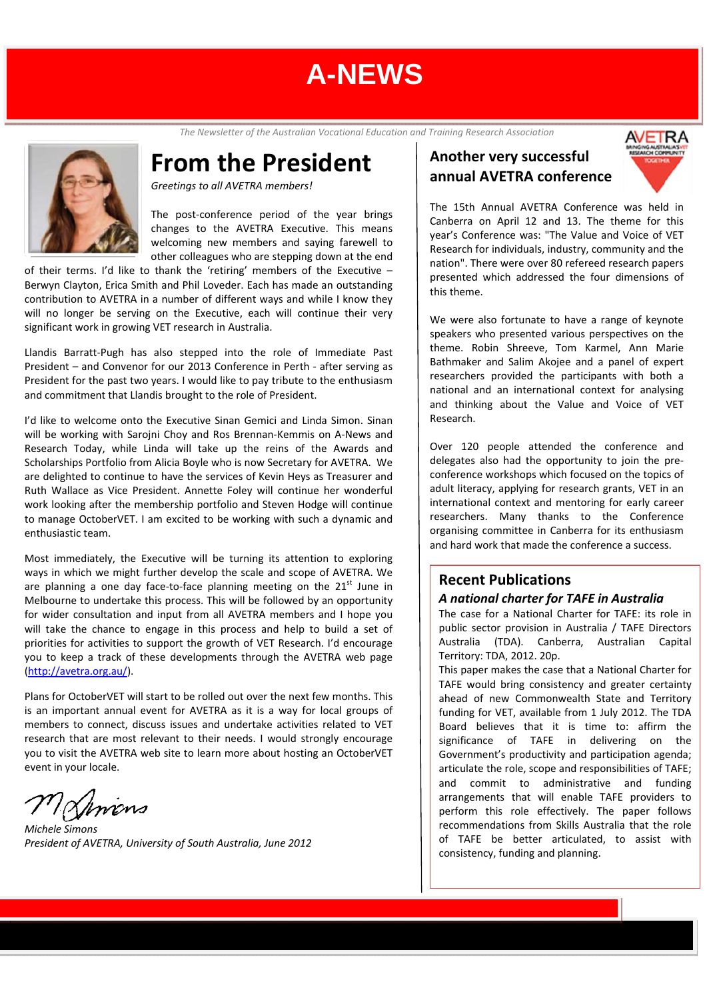*The Newsletter of the Australian Vocational Education and Training Research Association*

## **From the President**

*Greetings to all AVETRA members!*

The post-conference period of the year brings changes to the AVETRA Executive. This means welcoming new members and saying farewell to other colleagues who are stepping down at the end

of their terms. I'd like to thank the 'retiring' members of the Executive – Berwyn Clayton, Erica Smith and Phil Loveder. Each has made an outstanding contribution to AVETRA in a number of different ways and while I know they will no longer be serving on the Executive, each will continue their very significant work in growing VET research in Australia.

Llandis Barratt‐Pugh has also stepped into the role of Immediate Past President – and Convenor for our 2013 Conference in Perth ‐ after serving as President for the past two years. I would like to pay tribute to the enthusiasm and commitment that Llandis brought to the role of President.

I'd like to welcome onto the Executive Sinan Gemici and Linda Simon. Sinan will be working with Sarojni Choy and Ros Brennan‐Kemmis on A‐News and Research Today, while Linda will take up the reins of the Awards and Scholarships Portfolio from Alicia Boyle who is now Secretary for AVETRA. We are delighted to continue to have the services of Kevin Heys as Treasurer and Ruth Wallace as Vice President. Annette Foley will continue her wonderful work looking after the membership portfolio and Steven Hodge will continue to manage OctoberVET. I am excited to be working with such a dynamic and enthusiastic team.

Most immediately, the Executive will be turning its attention to exploring ways in which we might further develop the scale and scope of AVETRA. We are planning a one day face-to-face planning meeting on the  $21<sup>st</sup>$  June in Melbourne to undertake this process. This will be followed by an opportunity for wider consultation and input from all AVETRA members and I hope you will take the chance to engage in this process and help to build a set of priorities for activities to support the growth of VET Research. I'd encourage you to keep a track of these developments through the AVETRA web page (http://avetra.org.au/).

Plans for OctoberVET will start to be rolled out over the next few months. This is an important annual event for AVETRA as it is a way for local groups of members to connect, discuss issues and undertake activities related to VET research that are most relevant to their needs. I would strongly encourage you to visit the AVETRA web site to learn more about hosting an OctoberVET event in your locale.

*Michele Simons President of AVETRA, University of South Australia, June 2012*

### **Another very successful annual AVETRA conference**



The 15th Annual AVETRA Conference was held in Canberra on April 12 and 13. The theme for this year's Conference was: "The Value and Voice of VET Research for individuals, industry, community and the nation". There were over 80 refereed research papers presented which addressed the four dimensions of this theme.

We were also fortunate to have a range of keynote speakers who presented various perspectives on the theme. Robin Shreeve, Tom Karmel, Ann Marie Bathmaker and Salim Akojee and a panel of expert researchers provided the participants with both a national and an international context for analysing and thinking about the Value and Voice of VET Research.

Over 120 people attended the conference and delegates also had the opportunity to join the pre‐ conference workshops which focused on the topics of adult literacy, applying for research grants, VET in an international context and mentoring for early career researchers. Many thanks to the Conference organising committee in Canberra for its enthusiasm and hard work that made the conference a success.

### **Recent Publications**

### *A national charter for TAFE in Australia*

The case for a National Charter for TAFE: its role in public sector provision in Australia / TAFE Directors Australia (TDA). Canberra, Australian Capital Territory: TDA, 2012. 20p.

This paper makes the case that a National Charter for TAFE would bring consistency and greater certainty ahead of new Commonwealth State and Territory funding for VET, available from 1 July 2012. The TDA Board believes that it is time to: affirm the significance of TAFE in delivering on the Government's productivity and participation agenda; articulate the role, scope and responsibilities of TAFE; and commit to administrative and funding arrangements that will enable TAFE providers to perform this role effectively. The paper follows recommendations from Skills Australia that the role of TAFE be better articulated, to assist with consistency, funding and planning.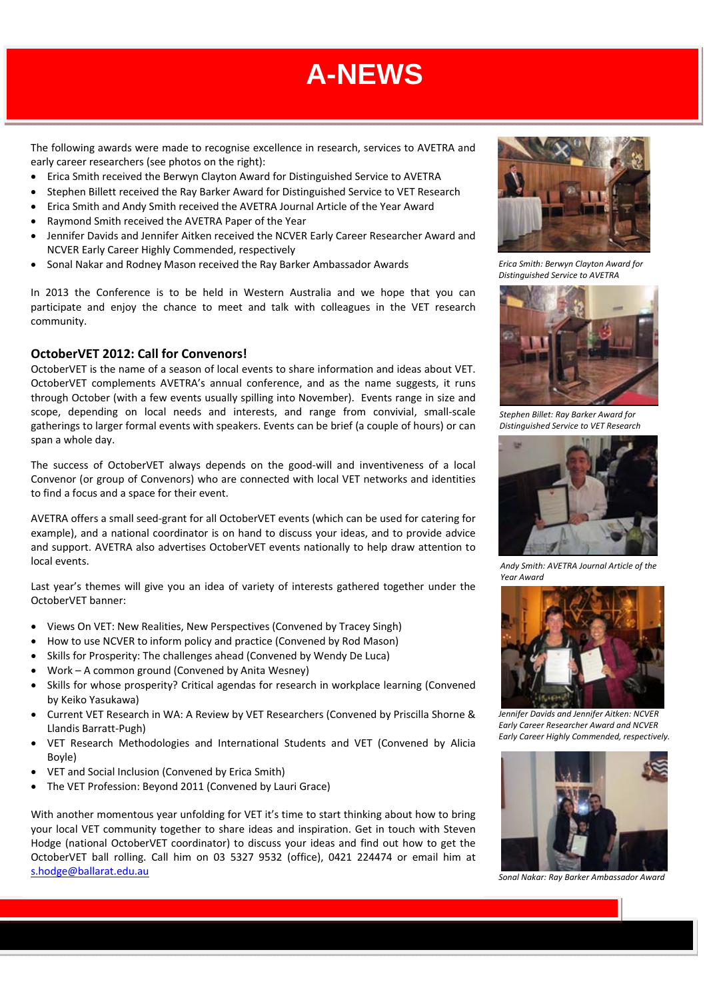The following awards were made to recognise excellence in research, services to AVETRA and early career researchers (see photos on the right):

- Erica Smith received the Berwyn Clayton Award for Distinguished Service to AVETRA
- Stephen Billett received the Ray Barker Award for Distinguished Service to VET Research
- Erica Smith and Andy Smith received the AVETRA Journal Article of the Year Award
- Raymond Smith received the AVETRA Paper of the Year
- Jennifer Davids and Jennifer Aitken received the NCVER Early Career Researcher Award and NCVER Early Career Highly Commended, respectively
- Sonal Nakar and Rodney Mason received the Ray Barker Ambassador Awards

In 2013 the Conference is to be held in Western Australia and we hope that you can participate and enjoy the chance to meet and talk with colleagues in the VET research community.

#### **OctoberVET 2012: Call for Convenors!**

OctoberVET is the name of a season of local events to share information and ideas about VET. OctoberVET complements AVETRA's annual conference, and as the name suggests, it runs through October (with a few events usually spilling into November). Events range in size and scope, depending on local needs and interests, and range from convivial, small‐scale gatherings to larger formal events with speakers. Events can be brief (a couple of hours) or can span a whole day.

The success of OctoberVET always depends on the good‐will and inventiveness of a local Convenor (or group of Convenors) who are connected with local VET networks and identities to find a focus and a space for their event.

AVETRA offers a small seed‐grant for all OctoberVET events (which can be used for catering for example), and a national coordinator is on hand to discuss your ideas, and to provide advice and support. AVETRA also advertises OctoberVET events nationally to help draw attention to local events.

Last year's themes will give you an idea of variety of interests gathered together under the OctoberVET banner:

- Views On VET: New Realities, New Perspectives (Convened by Tracey Singh)
- How to use NCVER to inform policy and practice (Convened by Rod Mason)
- Skills for Prosperity: The challenges ahead (Convened by Wendy De Luca)
- Work A common ground (Convened by Anita Wesney)
- Skills for whose prosperity? Critical agendas for research in workplace learning (Convened by Keiko Yasukawa)
- Current VET Research in WA: A Review by VET Researchers (Convened by Priscilla Shorne & Llandis Barratt‐Pugh)
- VET Research Methodologies and International Students and VET (Convened by Alicia Boyle)
- VET and Social Inclusion (Convened by Erica Smith)
- The VET Profession: Beyond 2011 (Convened by Lauri Grace)

With another momentous year unfolding for VET it's time to start thinking about how to bring your local VET community together to share ideas and inspiration. Get in touch with Steven Hodge (national OctoberVET coordinator) to discuss your ideas and find out how to get the OctoberVET ball rolling. Call him on 03 5327 9532 (office), 0421 224474 or email him at s.hodge@ballarat.edu.au



*Erica Smith: Berwyn Clayton Award for Distinguished Service to AVETRA* 



*Stephen Billet: Ray Barker Award for Distinguished Service to VET Research*



*Andy Smith: AVETRA Journal Article of the Year Award* 



*Jennifer Davids and Jennifer Aitken: NCVER Early Career Researcher Award and NCVER Early Career Highly Commended, respectively.*



*Sonal Nakar: Ray Barker Ambassador Award*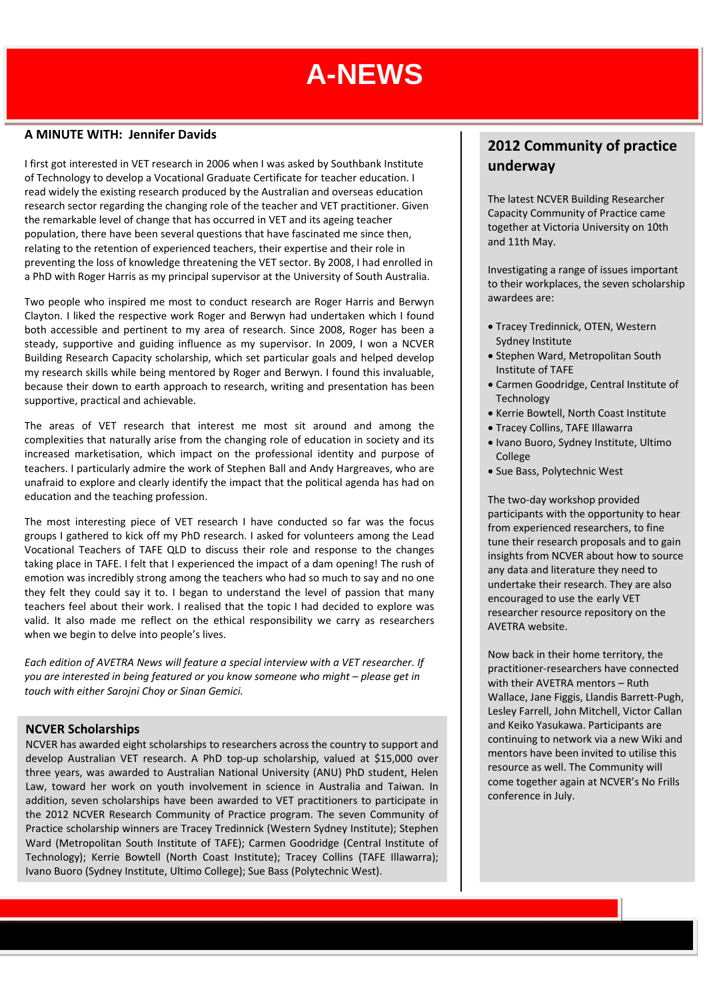#### **A MINUTE WITH: Jennifer Davids**

I first got interested in VET research in 2006 when I was asked by Southbank Institute of Technology to develop a Vocational Graduate Certificate for teacher education. I read widely the existing research produced by the Australian and overseas education research sector regarding the changing role of the teacher and VET practitioner. Given the remarkable level of change that has occurred in VET and its ageing teacher population, there have been several questions that have fascinated me since then, relating to the retention of experienced teachers, their expertise and their role in preventing the loss of knowledge threatening the VET sector. By 2008, I had enrolled in a PhD with Roger Harris as my principal supervisor at the University of South Australia.

Two people who inspired me most to conduct research are Roger Harris and Berwyn Clayton. I liked the respective work Roger and Berwyn had undertaken which I found both accessible and pertinent to my area of research. Since 2008, Roger has been a steady, supportive and guiding influence as my supervisor. In 2009, I won a NCVER Building Research Capacity scholarship, which set particular goals and helped develop my research skills while being mentored by Roger and Berwyn. I found this invaluable, because their down to earth approach to research, writing and presentation has been supportive, practical and achievable.

The areas of VET research that interest me most sit around and among the complexities that naturally arise from the changing role of education in society and its increased marketisation, which impact on the professional identity and purpose of teachers. I particularly admire the work of Stephen Ball and Andy Hargreaves, who are unafraid to explore and clearly identify the impact that the political agenda has had on education and the teaching profession.

The most interesting piece of VET research I have conducted so far was the focus groups I gathered to kick off my PhD research. I asked for volunteers among the Lead Vocational Teachers of TAFE QLD to discuss their role and response to the changes taking place in TAFE. I felt that I experienced the impact of a dam opening! The rush of emotion was incredibly strong among the teachers who had so much to say and no one they felt they could say it to. I began to understand the level of passion that many teachers feel about their work. I realised that the topic I had decided to explore was valid. It also made me reflect on the ethical responsibility we carry as researchers when we begin to delve into people's lives.

*Each edition of AVETRA News will feature a special interview with a VET researcher. If you are interested in being featured or you know someone who might – please get in touch with either Sarojni Choy or Sinan Gemici.*

#### **NCVER Scholarships**

NCVER has awarded eight scholarships to researchers across the country to support and develop Australian VET research. A PhD top‐up scholarship, valued at \$15,000 over three years, was awarded to Australian National University (ANU) PhD student, Helen Law, toward her work on youth involvement in science in Australia and Taiwan. In addition, seven scholarships have been awarded to VET practitioners to participate in the 2012 NCVER Research Community of Practice program. The seven Community of Practice scholarship winners are Tracey Tredinnick (Western Sydney Institute); Stephen Ward (Metropolitan South Institute of TAFE); Carmen Goodridge (Central Institute of Technology); Kerrie Bowtell (North Coast Institute); Tracey Collins (TAFE Illawarra); Ivano Buoro (Sydney Institute, Ultimo College); Sue Bass (Polytechnic West).

### **2012 Community of practice underway**

The latest NCVER Building Researcher Capacity Community of Practice came together at Victoria University on 10th and 11th May.

Investigating a range of issues important to their workplaces, the seven scholarship awardees are:

- Tracey Tredinnick, OTEN, Western Sydney Institute
- Stephen Ward, Metropolitan South Institute of TAFE
- Carmen Goodridge, Central Institute of Technology
- Kerrie Bowtell, North Coast Institute
- Tracey Collins, TAFE Illawarra
- Ivano Buoro, Sydney Institute, Ultimo College
- Sue Bass, Polytechnic West

The two‐day workshop provided participants with the opportunity to hear from experienced researchers, to fine tune their research proposals and to gain insights from NCVER about how to source any data and literature they need to undertake their research. They are also encouraged to use the early VET researcher resource repository on the AVETRA website.

Now back in their home territory, the practitioner‐researchers have connected with their AVETRA mentors – Ruth Wallace, Jane Figgis, Llandis Barrett‐Pugh, Lesley Farrell, John Mitchell, Victor Callan and Keiko Yasukawa. Participants are continuing to network via a new Wiki and mentors have been invited to utilise this resource as well. The Community will come together again at NCVER's No Frills conference in July.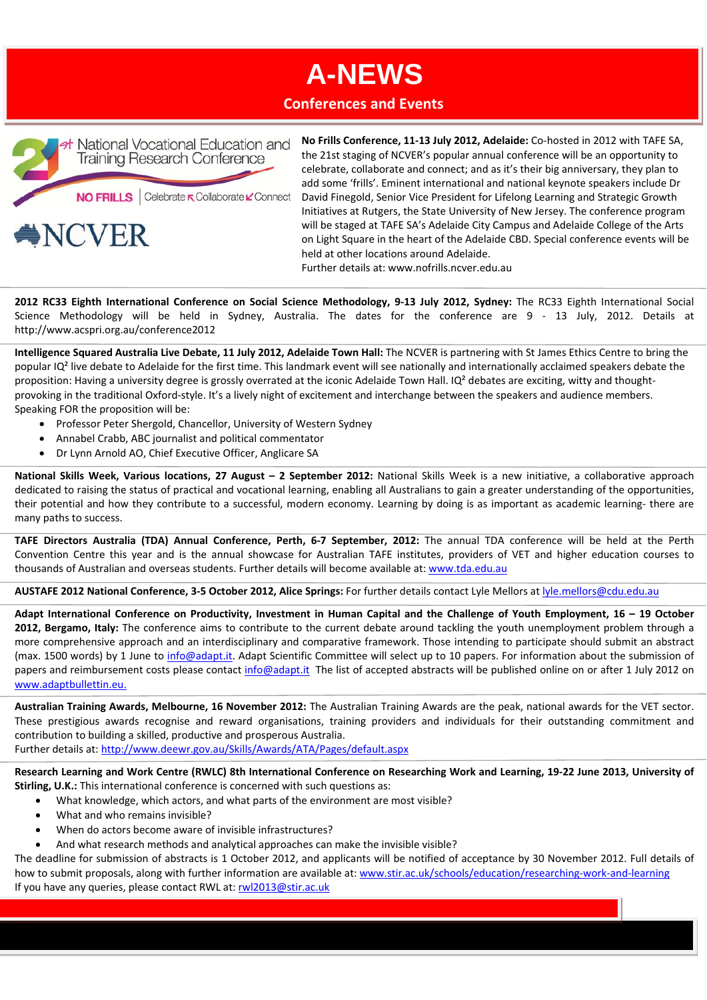### **Conferences and Events**



**No Frills Conference, 11‐13 July 2012, Adelaide:** Co‐hosted in 2012 with TAFE SA, the 21st staging of NCVER's popular annual conference will be an opportunity to celebrate, collaborate and connect; and as it's their big anniversary, they plan to add some 'frills'. Eminent international and national keynote speakers include Dr David Finegold, Senior Vice President for Lifelong Learning and Strategic Growth Initiatives at Rutgers, the State University of New Jersey. The conference program will be staged at TAFE SA's Adelaide City Campus and Adelaide College of the Arts on Light Square in the heart of the Adelaide CBD. Special conference events will be held at other locations around Adelaide.

Further details at: www.nofrills.ncver.edu.au

2012 RC33 Eighth International Conference on Social Science Methodology, 9-13 July 2012, Sydney: The RC33 Eighth International Social Science Methodology will be held in Sydney, Australia. The dates for the conference are 9 - 13 July, 2012. Details at http://www.acspri.org.au/conference2012

**Intelligence Squared Australia Live Debate, 11 July 2012, Adelaide Town Hall:** The NCVER is partnering with St James Ethics Centre to bring the popular IQ<sup>2</sup> live debate to Adelaide for the first time. This landmark event will see nationally and internationally acclaimed speakers debate the proposition: Having a university degree is grossly overrated at the iconic Adelaide Town Hall. IQ<sup>2</sup> debates are exciting, witty and thoughtprovoking in the traditional Oxford‐style. It's a lively night of excitement and interchange between the speakers and audience members. Speaking FOR the proposition will be:

- Professor Peter Shergold, Chancellor, University of Western Sydney
- Annabel Crabb, ABC journalist and political commentator
- Dr Lynn Arnold AO, Chief Executive Officer, Anglicare SA

**National Skills Week, Various locations, 27 August – 2 September 2012:** National Skills Week is a new initiative, a collaborative approach dedicated to raising the status of practical and vocational learning, enabling all Australians to gain a greater understanding of the opportunities, their potential and how they contribute to a successful, modern economy. Learning by doing is as important as academic learning‐ there are many paths to success.

**TAFE Directors Australia (TDA) Annual Conference, Perth, 6‐7 September, 2012:** The annual TDA conference will be held at the Perth Convention Centre this year and is the annual showcase for Australian TAFE institutes, providers of VET and higher education courses to thousands of Australian and overseas students. Further details will become available at: www.tda.edu.au

**AUSTAFE 2012 National Conference, 3‐5 October 2012, Alice Springs:** For further details contact Lyle Mellors at lyle.mellors@cdu.edu.au

Adapt International Conference on Productivity, Investment in Human Capital and the Challenge of Youth Employment, 16 - 19 October **2012, Bergamo, Italy:** The conference aims to contribute to the current debate around tackling the youth unemployment problem through a more comprehensive approach and an interdisciplinary and comparative framework. Those intending to participate should submit an abstract (max. 1500 words) by 1 June to info@adapt.it. Adapt Scientific Committee will select up to 10 papers. For information about the submission of papers and reimbursement costs please contact info@adapt.it The list of accepted abstracts will be published online on or after 1 July 2012 on www.adaptbullettin.eu.

**Australian Training Awards, Melbourne, 16 November 2012:** The Australian Training Awards are the peak, national awards for the VET sector. These prestigious awards recognise and reward organisations, training providers and individuals for their outstanding commitment and contribution to building a skilled, productive and prosperous Australia.

Further details at: http://www.deewr.gov.au/Skills/Awards/ATA/Pages/default.aspx

Research Learning and Work Centre (RWLC) 8th International Conference on Researching Work and Learning, 19-22 June 2013, University of **Stirling, U.K.:** This international conference is concerned with such questions as:

- What knowledge, which actors, and what parts of the environment are most visible?
- What and who remains invisible?
- When do actors become aware of invisible infrastructures?
- And what research methods and analytical approaches can make the invisible visible?

The deadline for submission of abstracts is 1 October 2012, and applicants will be notified of acceptance by 30 November 2012. Full details of how to submit proposals, along with further information are available at: www.stir.ac.uk/schools/education/researching‐work‐and‐learning If you have any queries, please contact RWL at: rwl2013@stir.ac.uk